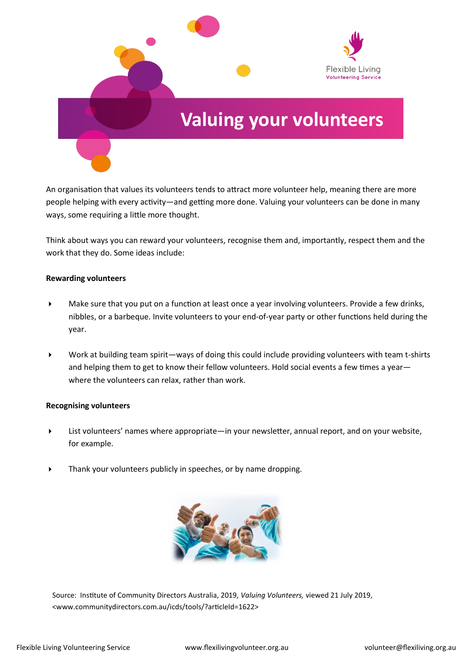

An organisation that values its volunteers tends to attract more volunteer help, meaning there are more people helping with every activity—and getting more done. Valuing your volunteers can be done in many ways, some requiring a little more thought.

Think about ways you can reward your volunteers, recognise them and, importantly, respect them and the work that they do. Some ideas include:

## **Rewarding volunteers**

- Make sure that you put on a function at least once a year involving volunteers. Provide a few drinks, nibbles, or a barbeque. Invite volunteers to your end-of-year party or other functions held during the year.
- Work at building team spirit—ways of doing this could include providing volunteers with team t-shirts and helping them to get to know their fellow volunteers. Hold social events a few times a yearwhere the volunteers can relax, rather than work.

## **Recognising volunteers**

- List volunteers' names where appropriate—in your newsletter, annual report, and on your website, for example.
- Thank your volunteers publicly in speeches, or by name dropping.



Source: Institute of Community Directors Australia, 2019, *Valuing Volunteers,* viewed 21 July 2019, <www.communitydirectors.com.au/icds/tools/?articleId=1622>